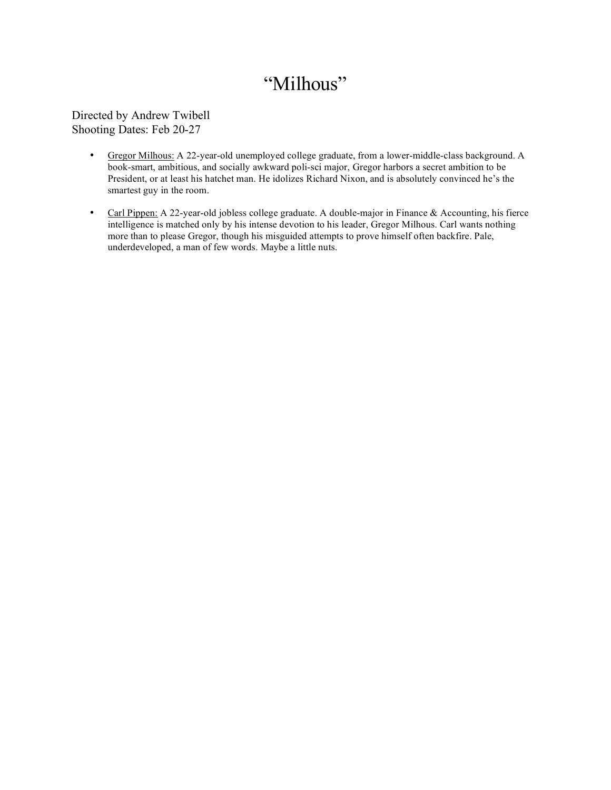### "Milhous"

Directed by Andrew Twibell Shooting Dates: Feb 20-27

- Gregor Milhous: A 22-year-old unemployed college graduate, from a lower-middle-class background. A book-smart, ambitious, and socially awkward poli-sci major, Gregor harbors a secret ambition to be President, or at least his hatchet man. He idolizes Richard Nixon, and is absolutely convinced he's the smartest guy in the room.
- Carl Pippen: A 22-year-old jobless college graduate. A double-major in Finance & Accounting, his fierce intelligence is matched only by his intense devotion to his leader, Gregor Milhous. Carl wants nothing more than to please Gregor, though his misguided attempts to prove himself often backfire. Pale, underdeveloped, a man of few words. Maybe a little nuts.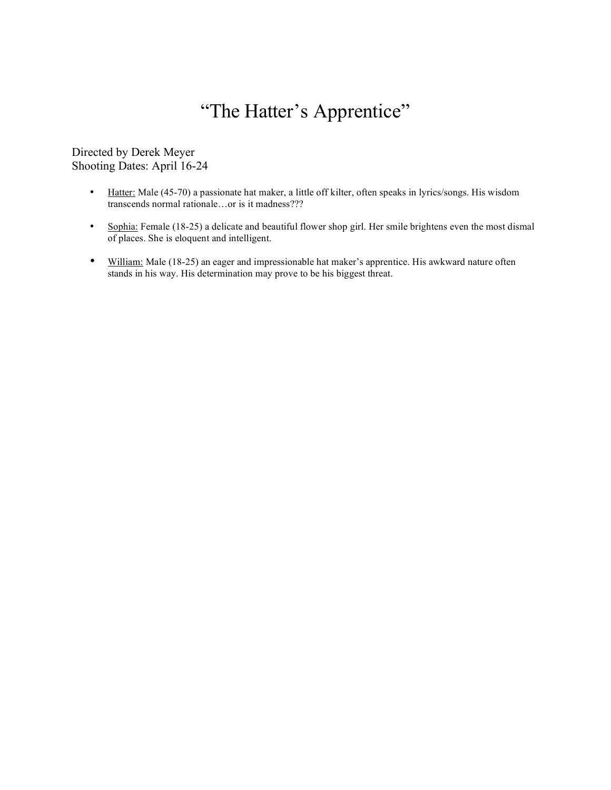# "The Hatter's Apprentice"

Directed by Derek Meyer Shooting Dates: April 16-24

- Hatter: Male (45-70) a passionate hat maker, a little off kilter, often speaks in lyrics/songs. His wisdom transcends normal rationale…or is it madness???
- Sophia: Female (18-25) a delicate and beautiful flower shop girl. Her smile brightens even the most dismal of places. She is eloquent and intelligent.
- William: Male (18-25) an eager and impressionable hat maker's apprentice. His awkward nature often stands in his way. His determination may prove to be his biggest threat.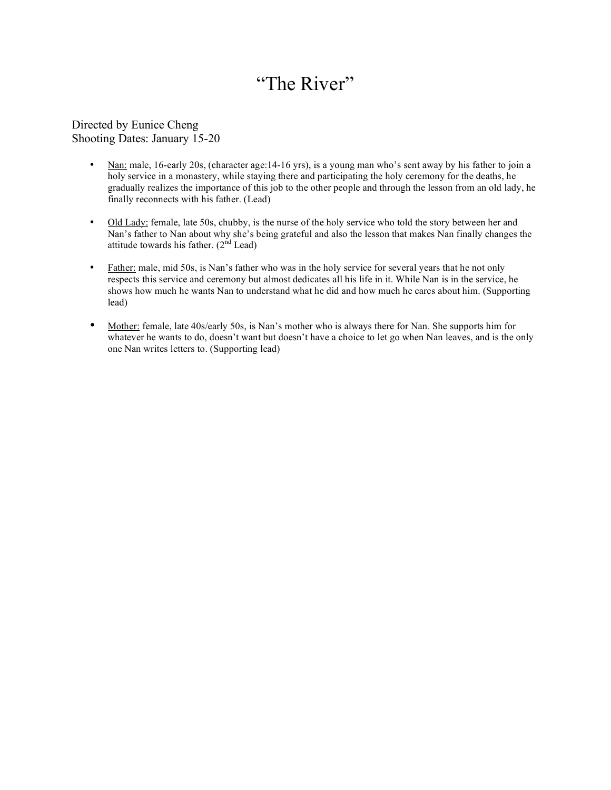## "The River"

#### Directed by Eunice Cheng Shooting Dates: January 15-20

- Nan: male, 16-early 20s, (character age: 14-16 yrs), is a young man who's sent away by his father to join a holy service in a monastery, while staying there and participating the holy ceremony for the deaths, he gradually realizes the importance of this job to the other people and through the lesson from an old lady, he finally reconnects with his father. (Lead)
- Old Lady: female, late 50s, chubby, is the nurse of the holy service who told the story between her and Nan's father to Nan about why she's being grateful and also the lesson that makes Nan finally changes the attitude towards his father.  $(2<sup>nd</sup>$  Lead)
- Father: male, mid 50s, is Nan's father who was in the holy service for several years that he not only respects this service and ceremony but almost dedicates all his life in it. While Nan is in the service, he shows how much he wants Nan to understand what he did and how much he cares about him. (Supporting lead)
- Mother: female, late 40s/early 50s, is Nan's mother who is always there for Nan. She supports him for whatever he wants to do, doesn't want but doesn't have a choice to let go when Nan leaves, and is the only one Nan writes letters to. (Supporting lead)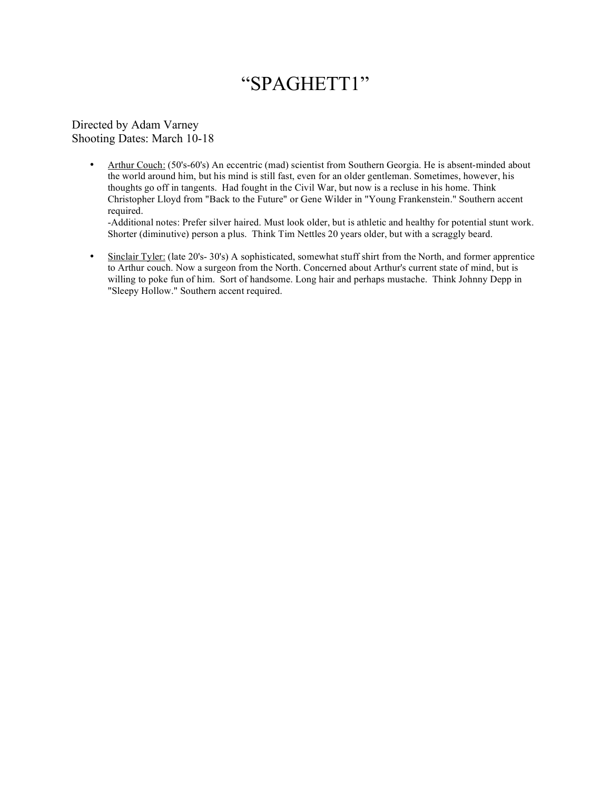#### "SPAGHETT1"

Directed by Adam Varney Shooting Dates: March 10-18

> • Arthur Couch: (50's-60's) An eccentric (mad) scientist from Southern Georgia. He is absent-minded about the world around him, but his mind is still fast, even for an older gentleman. Sometimes, however, his thoughts go off in tangents. Had fought in the Civil War, but now is a recluse in his home. Think Christopher Lloyd from "Back to the Future" or Gene Wilder in "Young Frankenstein." Southern accent required.

-Additional notes: Prefer silver haired. Must look older, but is athletic and healthy for potential stunt work. Shorter (diminutive) person a plus. Think Tim Nettles 20 years older, but with a scraggly beard.

• Sinclair Tyler: (late 20's- 30's) A sophisticated, somewhat stuff shirt from the North, and former apprentice to Arthur couch. Now a surgeon from the North. Concerned about Arthur's current state of mind, but is willing to poke fun of him. Sort of handsome. Long hair and perhaps mustache. Think Johnny Depp in "Sleepy Hollow." Southern accent required.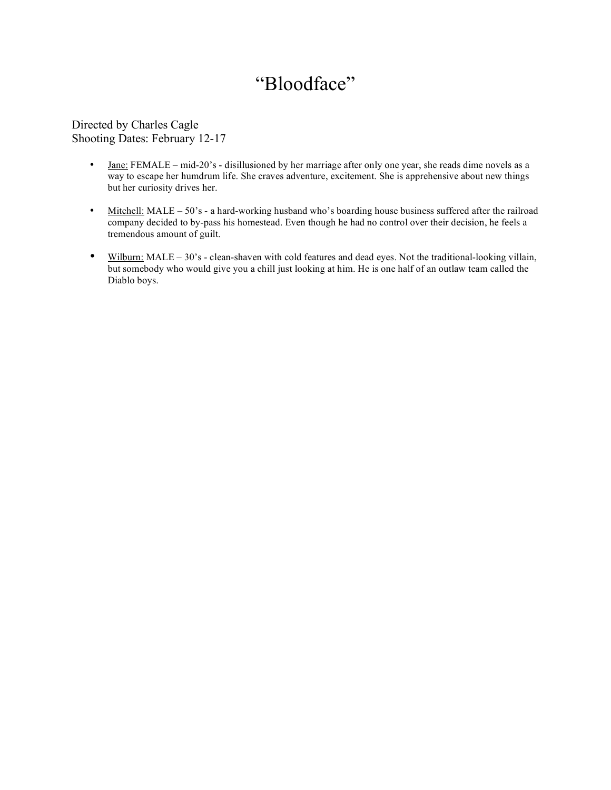## "Bloodface"

Directed by Charles Cagle Shooting Dates: February 12-17

- Jane: FEMALE mid-20's disillusioned by her marriage after only one year, she reads dime novels as a way to escape her humdrum life. She craves adventure, excitement. She is apprehensive about new things but her curiosity drives her.
- Mitchell: MALE 50's a hard-working husband who's boarding house business suffered after the railroad company decided to by-pass his homestead. Even though he had no control over their decision, he feels a tremendous amount of guilt.
- Wilburn: MALE 30's clean-shaven with cold features and dead eyes. Not the traditional-looking villain, but somebody who would give you a chill just looking at him. He is one half of an outlaw team called the Diablo boys.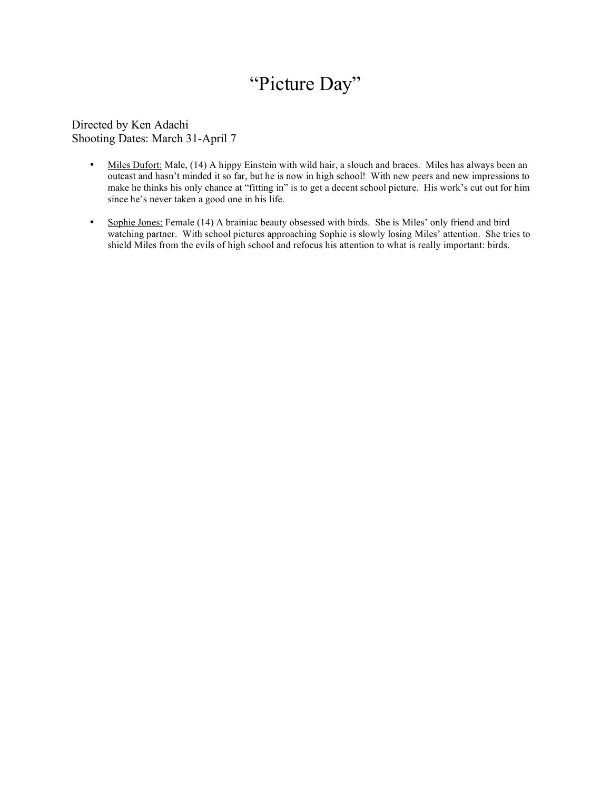# "Picture Day"

Directed by Ken Adachi Shooting Dates: March 31-April 7

- Miles Dufort: Male, (14) A hippy Einstein with wild hair, a slouch and braces. Miles has always been an outcast and hasn't minded it so far, but he is now in high school! With new peers and new impressions to make he thinks his only chance at "fitting in" is to get a decent school picture. His work's cut out for him since he's never taken a good one in his life.
- Sophie Jones: Female (14) A brainiac beauty obsessed with birds. She is Miles' only friend and bird watching partner. With school pictures approaching Sophie is slowly losing Miles' attention. She tries to shield Miles from the evils of high school and refocus his attention to what is really important: birds.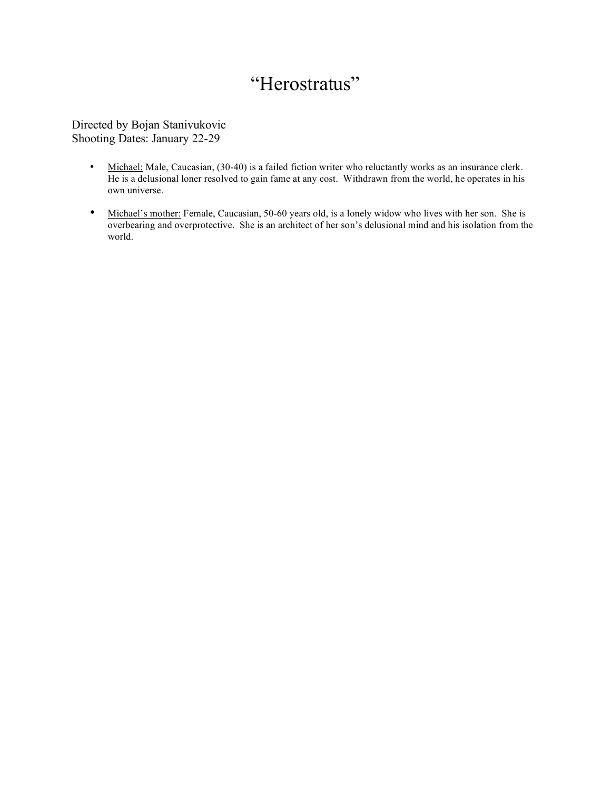# "Herostratus"

Directed by Bojan Stanivukovic Shooting Dates: January 22-29

- Michael: Male, Caucasian, (30-40) is a failed fiction writer who reluctantly works as an insurance clerk. He is a delusional loner resolved to gain fame at any cost. Withdrawn from the world, he operates in his own universe.
- Michael's mother: Female, Caucasian, 50-60 years old, is a lonely widow who lives with her son. She is overbearing and overprotective. She is an architect of her son's delusional mind and his isolation from the world.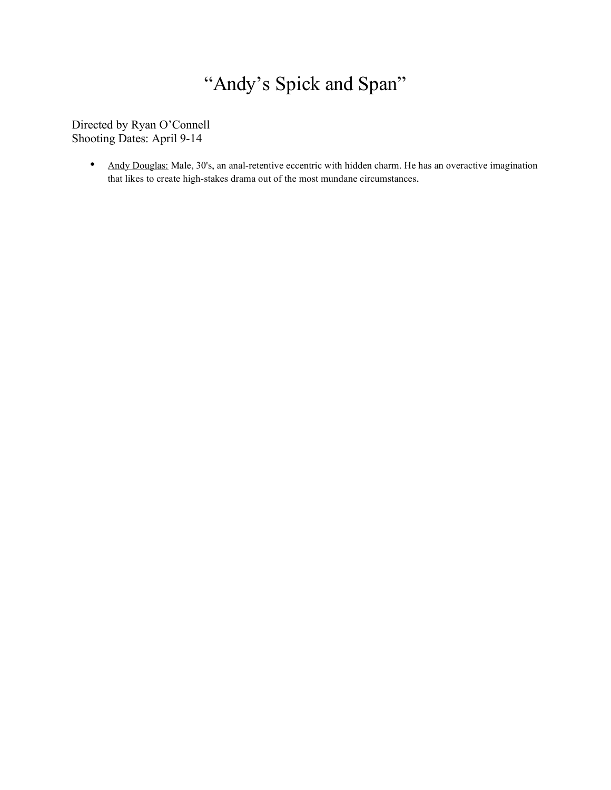# "Andy's Spick and Span"

Directed by Ryan O'Connell Shooting Dates: April 9-14

> • Andy Douglas: Male, 30's, an anal-retentive eccentric with hidden charm. He has an overactive imagination that likes to create high-stakes drama out of the most mundane circumstances.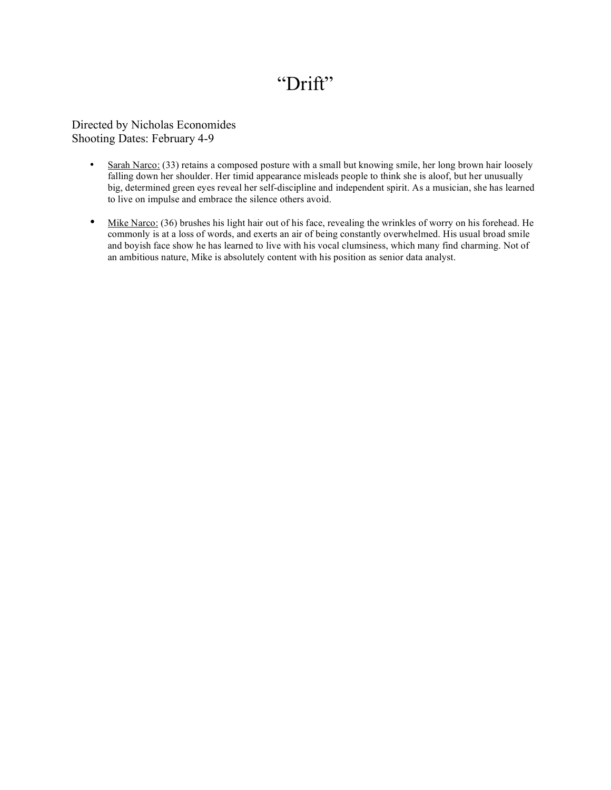### "Drift"

Directed by Nicholas Economides Shooting Dates: February 4-9

- Sarah Narco: (33) retains a composed posture with a small but knowing smile, her long brown hair loosely falling down her shoulder. Her timid appearance misleads people to think she is aloof, but her unusually big, determined green eyes reveal her self-discipline and independent spirit. As a musician, she has learned to live on impulse and embrace the silence others avoid.
- Mike Narco: (36) brushes his light hair out of his face, revealing the wrinkles of worry on his forehead. He commonly is at a loss of words, and exerts an air of being constantly overwhelmed. His usual broad smile and boyish face show he has learned to live with his vocal clumsiness, which many find charming. Not of an ambitious nature, Mike is absolutely content with his position as senior data analyst.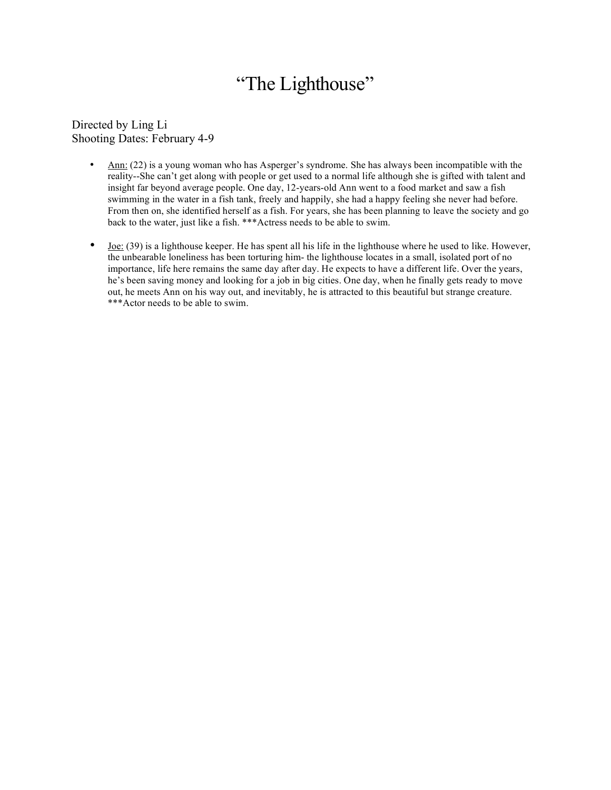### "The Lighthouse"

Directed by Ling Li Shooting Dates: February 4-9

- Ann: (22) is a young woman who has Asperger's syndrome. She has always been incompatible with the reality--She can't get along with people or get used to a normal life although she is gifted with talent and insight far beyond average people. One day, 12-years-old Ann went to a food market and saw a fish swimming in the water in a fish tank, freely and happily, she had a happy feeling she never had before. From then on, she identified herself as a fish. For years, she has been planning to leave the society and go back to the water, just like a fish. \*\*\*Actress needs to be able to swim.
- $\bullet$  Joe: (39) is a lighthouse keeper. He has spent all his life in the lighthouse where he used to like. However, the unbearable loneliness has been torturing him- the lighthouse locates in a small, isolated port of no importance, life here remains the same day after day. He expects to have a different life. Over the years, he's been saving money and looking for a job in big cities. One day, when he finally gets ready to move out, he meets Ann on his way out, and inevitably, he is attracted to this beautiful but strange creature. \*\*\*Actor needs to be able to swim.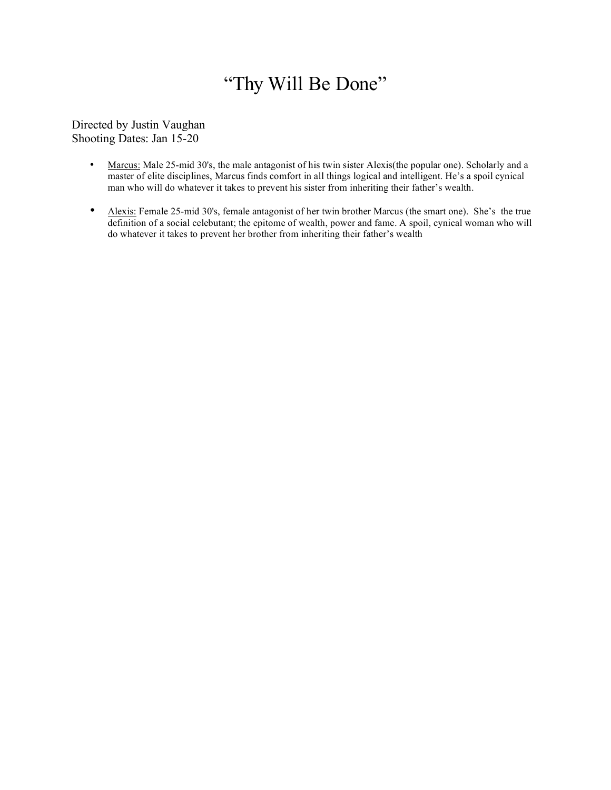# "Thy Will Be Done"

Directed by Justin Vaughan Shooting Dates: Jan 15-20

- Marcus: Male 25-mid 30's, the male antagonist of his twin sister Alexis(the popular one). Scholarly and a master of elite disciplines, Marcus finds comfort in all things logical and intelligent. He's a spoil cynical man who will do whatever it takes to prevent his sister from inheriting their father's wealth.
- Alexis: Female 25-mid 30's, female antagonist of her twin brother Marcus (the smart one). She's the true definition of a social celebutant; the epitome of wealth, power and fame. A spoil, cynical woman who will do whatever it takes to prevent her brother from inheriting their father's wealth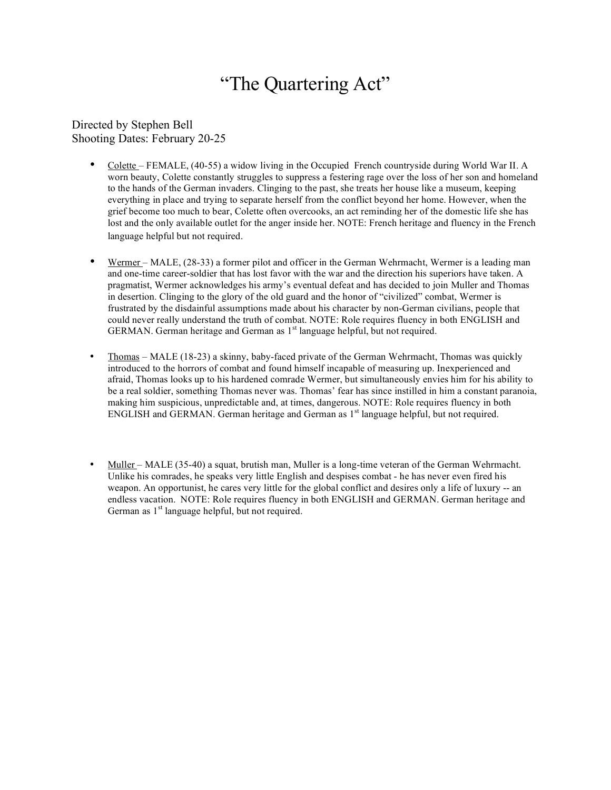#### "The Quartering Act"

Directed by Stephen Bell Shooting Dates: February 20-25

- Colette FEMALE, (40-55) a widow living in the Occupied French countryside during World War II. A worn beauty, Colette constantly struggles to suppress a festering rage over the loss of her son and homeland to the hands of the German invaders. Clinging to the past, she treats her house like a museum, keeping everything in place and trying to separate herself from the conflict beyond her home. However, when the grief become too much to bear, Colette often overcooks, an act reminding her of the domestic life she has lost and the only available outlet for the anger inside her. NOTE: French heritage and fluency in the French language helpful but not required.
- Wermer MALE, (28-33) a former pilot and officer in the German Wehrmacht, Wermer is a leading man and one-time career-soldier that has lost favor with the war and the direction his superiors have taken. A pragmatist, Wermer acknowledges his army's eventual defeat and has decided to join Muller and Thomas in desertion. Clinging to the glory of the old guard and the honor of "civilized" combat, Wermer is frustrated by the disdainful assumptions made about his character by non-German civilians, people that could never really understand the truth of combat. NOTE: Role requires fluency in both ENGLISH and GERMAN. German heritage and German as 1<sup>st</sup> language helpful, but not required.
- Thomas MALE (18-23) a skinny, baby-faced private of the German Wehrmacht, Thomas was quickly introduced to the horrors of combat and found himself incapable of measuring up. Inexperienced and afraid, Thomas looks up to his hardened comrade Wermer, but simultaneously envies him for his ability to be a real soldier, something Thomas never was. Thomas' fear has since instilled in him a constant paranoia, making him suspicious, unpredictable and, at times, dangerous. NOTE: Role requires fluency in both ENGLISH and GERMAN. German heritage and German as 1<sup>st</sup> language helpful, but not required.
- Muller MALE (35-40) a squat, brutish man, Muller is a long-time veteran of the German Wehrmacht. Unlike his comrades, he speaks very little English and despises combat - he has never even fired his weapon. An opportunist, he cares very little for the global conflict and desires only a life of luxury -- an endless vacation. NOTE: Role requires fluency in both ENGLISH and GERMAN. German heritage and German as 1<sup>st</sup> language helpful, but not required.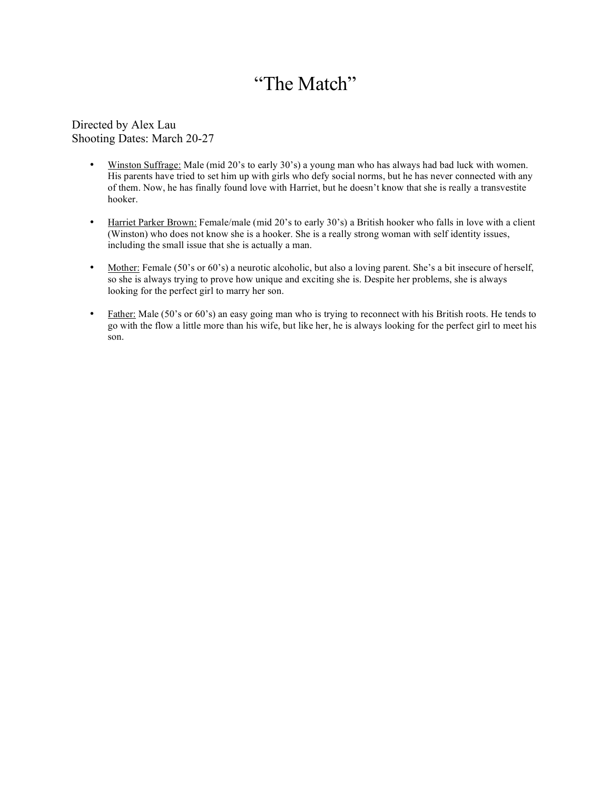# "The Match"

Directed by Alex Lau Shooting Dates: March 20-27

- Winston Suffrage: Male (mid 20's to early 30's) a young man who has always had bad luck with women. His parents have tried to set him up with girls who defy social norms, but he has never connected with any of them. Now, he has finally found love with Harriet, but he doesn't know that she is really a transvestite hooker.
- Harriet Parker Brown: Female/male (mid 20's to early 30's) a British hooker who falls in love with a client (Winston) who does not know she is a hooker. She is a really strong woman with self identity issues, including the small issue that she is actually a man.
- Mother: Female (50's or 60's) a neurotic alcoholic, but also a loving parent. She's a bit insecure of herself, so she is always trying to prove how unique and exciting she is. Despite her problems, she is always looking for the perfect girl to marry her son.
- Father: Male (50's or 60's) an easy going man who is trying to reconnect with his British roots. He tends to go with the flow a little more than his wife, but like her, he is always looking for the perfect girl to meet his son.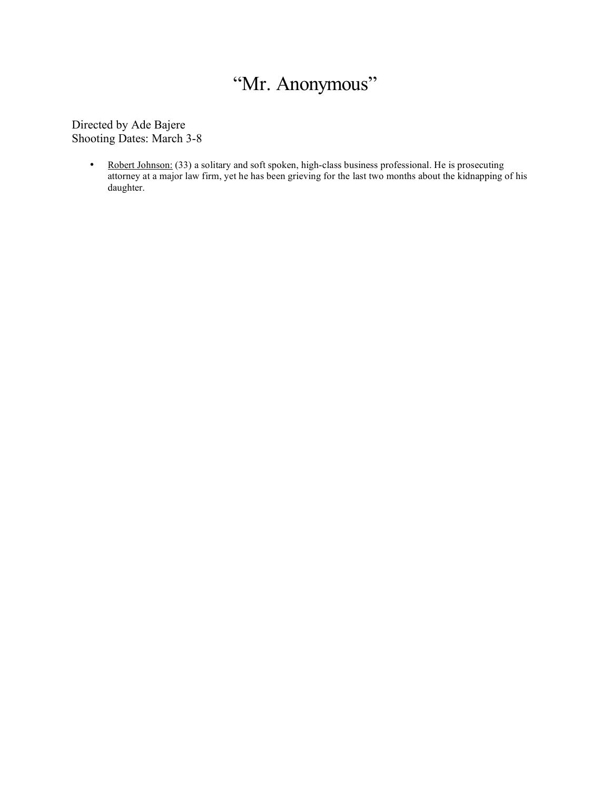# "Mr. Anonymous"

Directed by Ade Bajere Shooting Dates: March 3-8

> • Robert Johnson: (33) a solitary and soft spoken, high-class business professional. He is prosecuting attorney at a major law firm, yet he has been grieving for the last two months about the kidnapping of his daughter.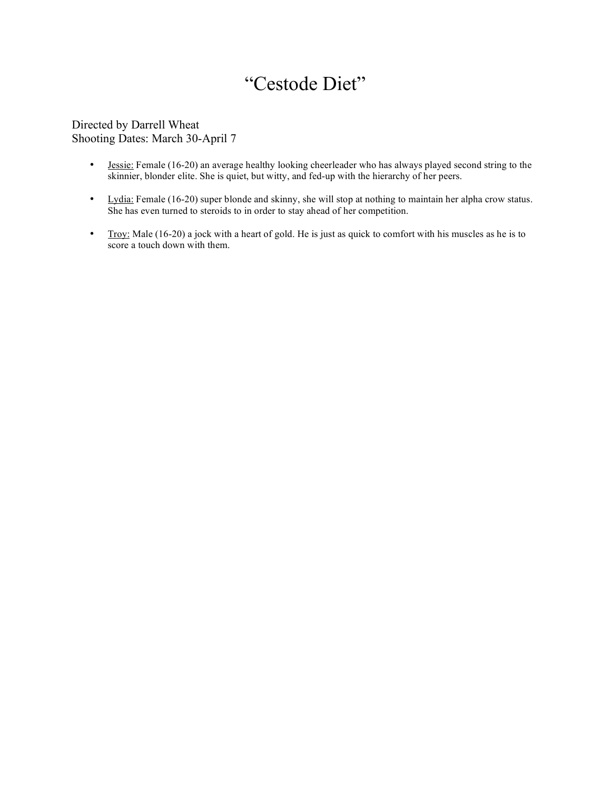# "Cestode Diet"

#### Directed by Darrell Wheat Shooting Dates: March 30-April 7

- Jessie: Female (16-20) an average healthy looking cheerleader who has always played second string to the skinnier, blonder elite. She is quiet, but witty, and fed-up with the hierarchy of her peers.
- Lydia: Female (16-20) super blonde and skinny, she will stop at nothing to maintain her alpha crow status. She has even turned to steroids to in order to stay ahead of her competition.
- Troy: Male (16-20) a jock with a heart of gold. He is just as quick to comfort with his muscles as he is to score a touch down with them.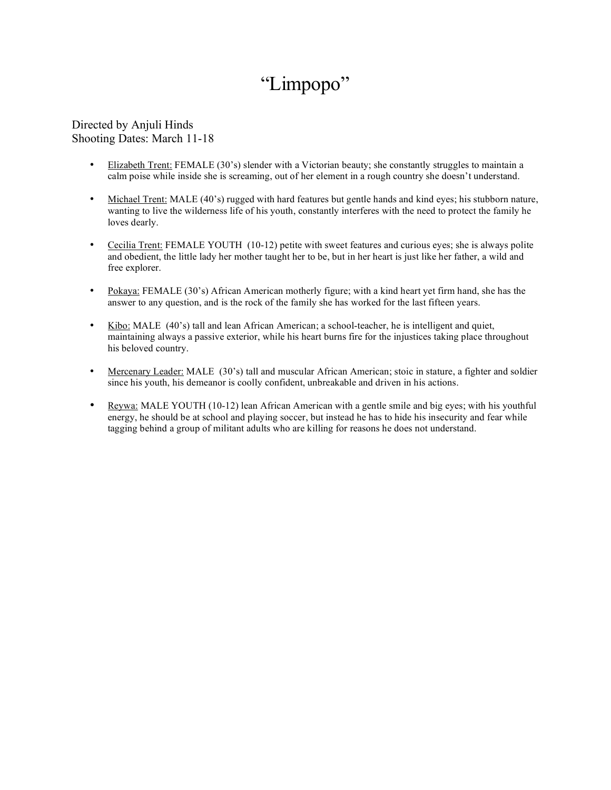# "Limpopo"

#### Directed by Anjuli Hinds Shooting Dates: March 11-18

- Elizabeth Trent: FEMALE (30's) slender with a Victorian beauty; she constantly struggles to maintain a calm poise while inside she is screaming, out of her element in a rough country she doesn't understand.
- Michael Trent: MALE (40's) rugged with hard features but gentle hands and kind eyes; his stubborn nature, wanting to live the wilderness life of his youth, constantly interferes with the need to protect the family he loves dearly.
- Cecilia Trent: FEMALE YOUTH (10-12) petite with sweet features and curious eyes; she is always polite and obedient, the little lady her mother taught her to be, but in her heart is just like her father, a wild and free explorer.
- Pokaya: FEMALE (30's) African American motherly figure; with a kind heart yet firm hand, she has the answer to any question, and is the rock of the family she has worked for the last fifteen years.
- Kibo: MALE (40's) tall and lean African American; a school-teacher, he is intelligent and quiet, maintaining always a passive exterior, while his heart burns fire for the injustices taking place throughout his beloved country.
- Mercenary Leader: MALE (30's) tall and muscular African American; stoic in stature, a fighter and soldier since his youth, his demeanor is coolly confident, unbreakable and driven in his actions.
- Reywa: MALE YOUTH (10-12) lean African American with a gentle smile and big eyes; with his youthful energy, he should be at school and playing soccer, but instead he has to hide his insecurity and fear while tagging behind a group of militant adults who are killing for reasons he does not understand.